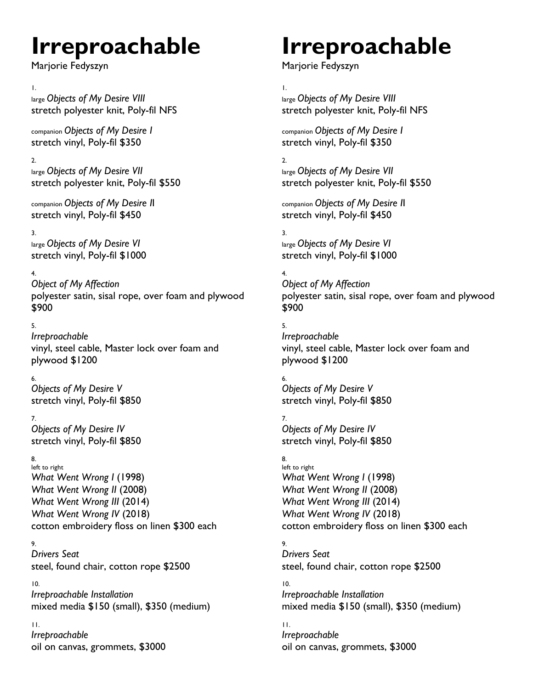# **Irreproachable**

Marjorie Fedyszyn

#### 1.

large *Objects of My Desire VIII* stretch polyester knit, Poly-fil NFS

companion *Objects of My Desire I* stretch vinyl, Poly-fil \$350

2. large *Objects of My Desire VII* stretch polyester knit, Poly-fil \$550

companion *Objects of My Desire I*I stretch vinyl, Poly-fil \$450

#### 3.

large *Objects of My Desire VI* stretch vinyl, Poly-fil \$1000

## 4.

*Object of My Affection* polyester satin, sisal rope, over foam and plywood \$900

### 5.

*Irreproachable*  vinyl, steel cable, Master lock over foam and plywood \$1200

## 6.

*Objects of My Desire V* stretch vinyl, Poly-fil \$850

## 7.

*Objects of My Desire IV* stretch vinyl, Poly-fil \$850

#### 8.

left to right *What Went Wrong I* (1998) *What Went Wrong II* (2008) *What Went Wrong III* (2014) *What Went Wrong IV* (2018) cotton embroidery floss on linen \$300 each

## 9.

*Drivers Seat* steel, found chair, cotton rope \$2500

#### 10.

*Irreproachable Installation* mixed media \$150 (small), \$350 (medium)

11. *Irreproachable*  oil on canvas, grommets, \$3000

# **Irreproachable**

Marjorie Fedyszyn

1. large *Objects of My Desire VIII* stretch polyester knit, Poly-fil NFS

companion *Objects of My Desire I* stretch vinyl, Poly-fil \$350

2. large *Objects of My Desire VII* stretch polyester knit, Poly-fil \$550

companion *Objects of My Desire I*I stretch vinyl, Poly-fil \$450

#### 3. large *Objects of My Desire VI* stretch vinyl, Poly-fil \$1000

4. *Object of My Affection* polyester satin, sisal rope, over foam and plywood \$900

5. *Irreproachable*  vinyl, steel cable, Master lock over foam and plywood \$1200

6. *Objects of My Desire V* stretch vinyl, Poly-fil \$850

7. *Objects of My Desire IV* stretch vinyl, Poly-fil \$850

#### 8. left to right *What Went Wrong I* (1998) *What Went Wrong II* (2008) *What Went Wrong III* (2014) *What Went Wrong IV* (2018)

cotton embroidery floss on linen \$300 each

9. *Drivers Seat* steel, found chair, cotton rope \$2500

10. *Irreproachable Installation* mixed media \$150 (small), \$350 (medium)

11. *Irreproachable*  oil on canvas, grommets, \$3000